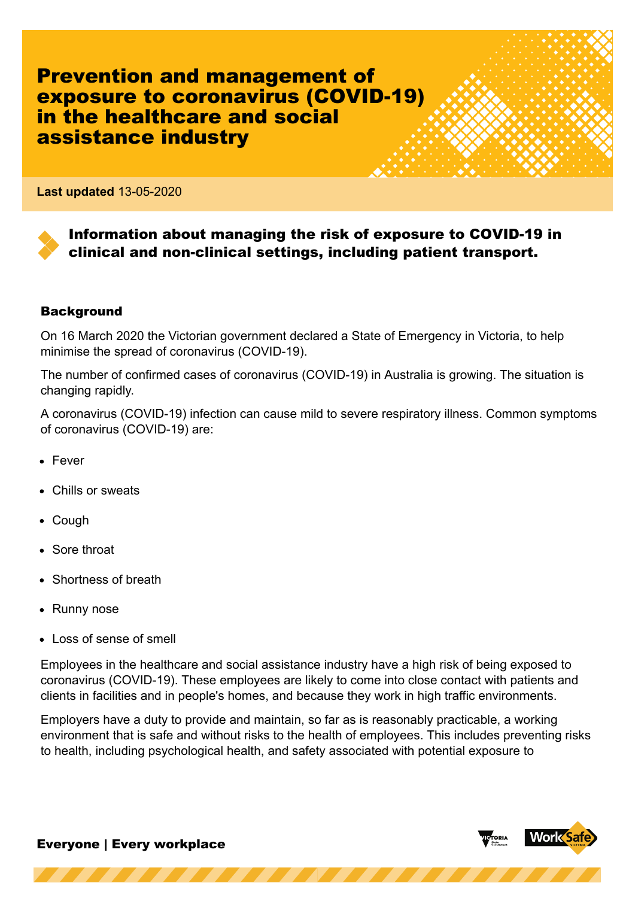Prevention and management of exposure to coronavirus (COVID-19) in the healthcare and social assistance industry

**Last updated** 13-05-2020

# Information about managing the risk of exposure to COVID-19 in clinical and non-clinical settings, including patient transport.

#### **Background**

On 16 March 2020 the Victorian government declared a State of Emergency in Victoria, to help minimise the spread of coronavirus (COVID-19).

The number of confirmed cases of coronavirus (COVID-19) in Australia is growing. The situation is changing rapidly.

A coronavirus (COVID-19) infection can cause mild to severe respiratory illness. Common symptoms of coronavirus (COVID-19) are:

- Fever
- Chills or sweats
- Cough
- Sore throat
- Shortness of breath
- Runny nose
- **Loss of sense of smell**

Employees in the healthcare and social assistance industry have a high risk of being exposed to coronavirus (COVID-19). These employees are likely to come into close contact with patients and clients in facilities and in people's homes, and because they work in high traffic environments.

Employers have a duty to provide and maintain, so far as is reasonably practicable, a working environment that is safe and without risks to the health of employees. This includes preventing risks to health, including psychological health, and safety associated with potential exposure to

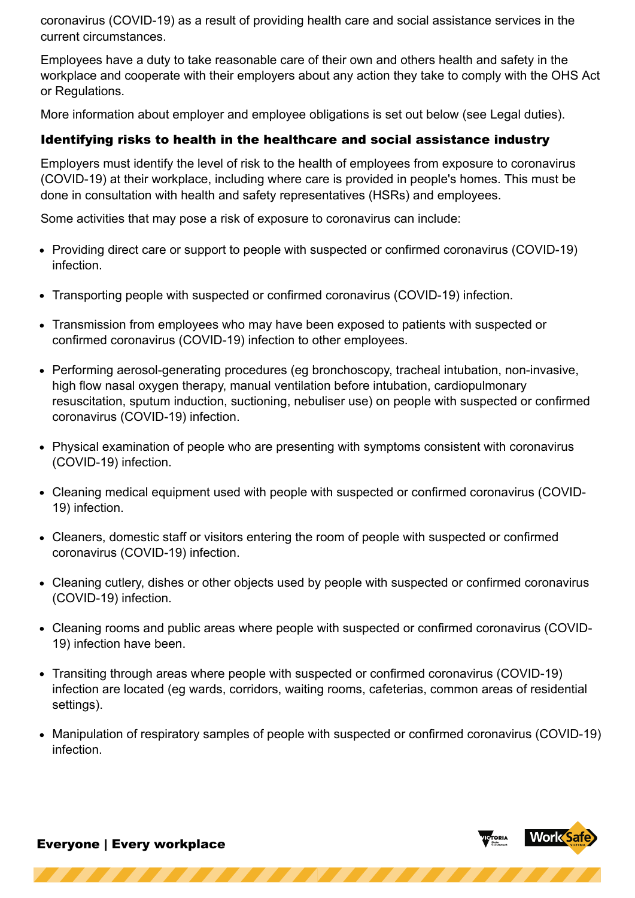coronavirus (COVID-19) as a result of providing health care and social assistance services in the current circumstances.

Employees have a duty to take reasonable care of their own and others health and safety in the workplace and cooperate with their employers about any action they take to comply with the OHS Act or Regulations.

More information about employer and employee obligations is set out below (see Legal duties).

# Identifying risks to health in the healthcare and social assistance industry

Employers must identify the level of risk to the health of employees from exposure to coronavirus (COVID-19) at their workplace, including where care is provided in people's homes. This must be done in consultation with health and safety representatives (HSRs) and employees.

Some activities that may pose a risk of exposure to coronavirus can include:

- Providing direct care or support to people with suspected or confirmed coronavirus (COVID-19) infection.
- Transporting people with suspected or confirmed coronavirus (COVID-19) infection.
- Transmission from employees who may have been exposed to patients with suspected or confirmed coronavirus (COVID-19) infection to other employees.
- Performing aerosol-generating procedures (eg bronchoscopy, tracheal intubation, non-invasive, high flow nasal oxygen therapy, manual ventilation before intubation, cardiopulmonary resuscitation, sputum induction, suctioning, nebuliser use) on people with suspected or confirmed coronavirus (COVID-19) infection.
- Physical examination of people who are presenting with symptoms consistent with coronavirus (COVID-19) infection.
- Cleaning medical equipment used with people with suspected or confirmed coronavirus (COVID-19) infection.
- Cleaners, domestic staff or visitors entering the room of people with suspected or confirmed coronavirus (COVID-19) infection.
- Cleaning cutlery, dishes or other objects used by people with suspected or confirmed coronavirus (COVID-19) infection.
- Cleaning rooms and public areas where people with suspected or confirmed coronavirus (COVID-19) infection have been.
- Transiting through areas where people with suspected or confirmed coronavirus (COVID-19) infection are located (eg wards, corridors, waiting rooms, cafeterias, common areas of residential settings).
- Manipulation of respiratory samples of people with suspected or confirmed coronavirus (COVID-19) infection.

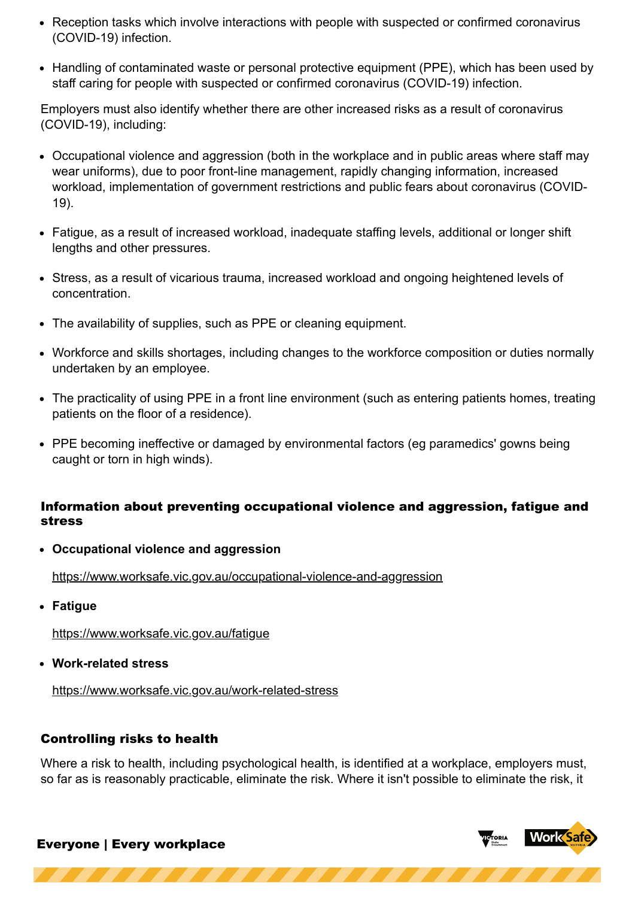- Reception tasks which involve interactions with people with suspected or confirmed coronavirus (COVID-19) infection.
- Handling of contaminated waste or personal protective equipment (PPE), which has been used by staff caring for people with suspected or confirmed coronavirus (COVID-19) infection.

Employers must also identify whether there are other increased risks as a result of coronavirus (COVID-19), including:

- Occupational violence and aggression (both in the workplace and in public areas where staff may wear uniforms), due to poor front-line management, rapidly changing information, increased workload, implementation of government restrictions and public fears about coronavirus (COVID-19).
- Fatigue, as a result of increased workload, inadequate staffing levels, additional or longer shift lengths and other pressures.
- Stress, as a result of vicarious trauma, increased workload and ongoing heightened levels of concentration.
- The availability of supplies, such as PPE or cleaning equipment.
- Workforce and skills shortages, including changes to the workforce composition or duties normally undertaken by an employee.
- The practicality of using PPE in a front line environment (such as entering patients homes, treating patients on the floor of a residence).
- PPE becoming ineffective or damaged by environmental factors (eg paramedics' gowns being caught or torn in high winds).

## Information about preventing occupational violence and aggression, fatigue and stress

**Occupational violence and aggression**

<https://www.worksafe.vic.gov.au/occupational-violence-and-aggression>

**Fatigue**

<https://www.worksafe.vic.gov.au/fatigue>

**Work-related stress**

<https://www.worksafe.vic.gov.au/work-related-stress>

# Controlling risks to health

Where a risk to health, including psychological health, is identified at a workplace, employers must, so far as is reasonably practicable, eliminate the risk. Where it isn't possible to eliminate the risk, it

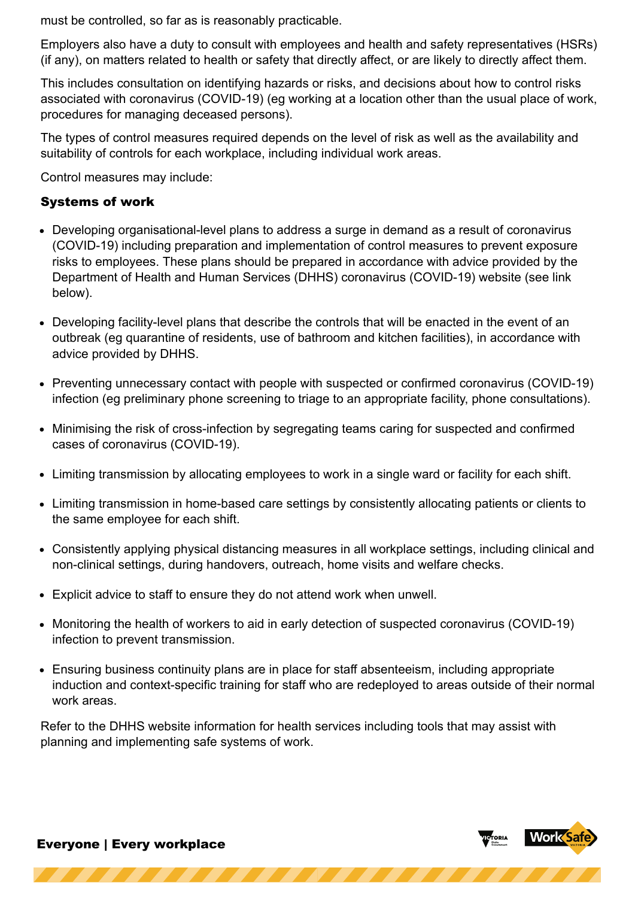must be controlled, so far as is reasonably practicable.

Employers also have a duty to consult with employees and health and safety representatives (HSRs) (if any), on matters related to health or safety that directly affect, or are likely to directly affect them.

This includes consultation on identifying hazards or risks, and decisions about how to control risks associated with coronavirus (COVID-19) (eg working at a location other than the usual place of work, procedures for managing deceased persons).

The types of control measures required depends on the level of risk as well as the availability and suitability of controls for each workplace, including individual work areas.

Control measures may include:

# Systems of work

- Developing organisational-level plans to address a surge in demand as a result of coronavirus (COVID-19) including preparation and implementation of control measures to prevent exposure risks to employees. These plans should be prepared in accordance with advice provided by the Department of Health and Human Services (DHHS) coronavirus (COVID-19) website (see link below).
- Developing facility-level plans that describe the controls that will be enacted in the event of an outbreak (eg quarantine of residents, use of bathroom and kitchen facilities), in accordance with advice provided by DHHS.
- Preventing unnecessary contact with people with suspected or confirmed coronavirus (COVID-19) infection (eg preliminary phone screening to triage to an appropriate facility, phone consultations).
- Minimising the risk of cross-infection by segregating teams caring for suspected and confirmed cases of coronavirus (COVID-19).
- Limiting transmission by allocating employees to work in a single ward or facility for each shift.
- Limiting transmission in home-based care settings by consistently allocating patients or clients to the same employee for each shift.
- Consistently applying physical distancing measures in all workplace settings, including clinical and non-clinical settings, during handovers, outreach, home visits and welfare checks.
- Explicit advice to staff to ensure they do not attend work when unwell.
- Monitoring the health of workers to aid in early detection of suspected coronavirus (COVID-19) infection to prevent transmission.
- Ensuring business continuity plans are in place for staff absenteeism, including appropriate induction and context-specific training for staff who are redeployed to areas outside of their normal work areas.

Refer to the DHHS website information for health services including tools that may assist with planning and implementing safe systems of work.

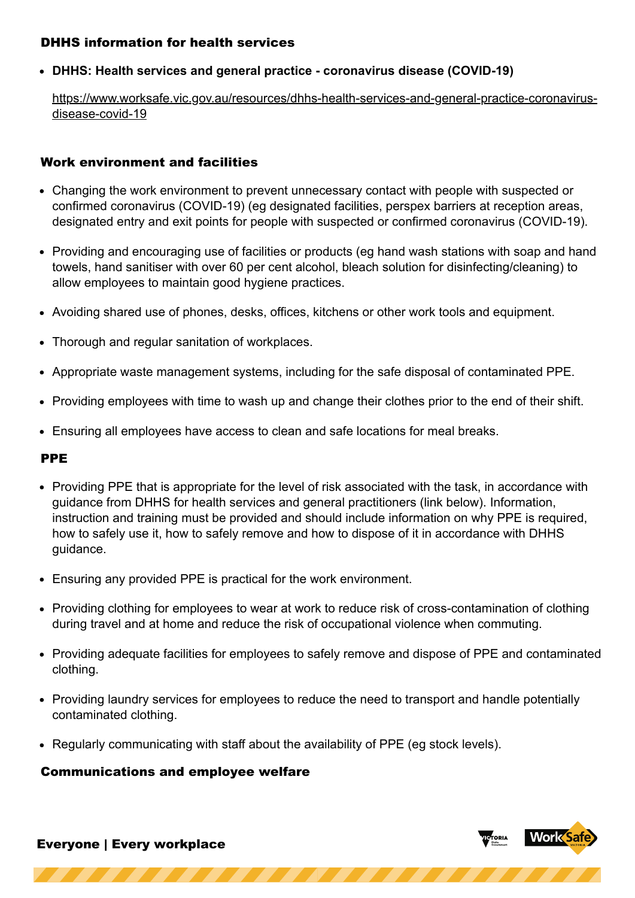## DHHS information for health services

**DHHS: Health services and general practice - coronavirus disease (COVID-19)**

[https://www.worksafe.vic.gov.au/resources/dhhs-health-services-and-general-practice-coronavirus](https://www.worksafe.vic.gov.au/resources/dhhs-health-services-and-general-practice-coronavirus-disease-covid-19)disease-covid-19

## Work environment and facilities

- Changing the work environment to prevent unnecessary contact with people with suspected or confirmed coronavirus (COVID-19) (eg designated facilities, perspex barriers at reception areas, designated entry and exit points for people with suspected or confirmed coronavirus (COVID-19).
- Providing and encouraging use of facilities or products (eg hand wash stations with soap and hand towels, hand sanitiser with over 60 per cent alcohol, bleach solution for disinfecting/cleaning) to allow employees to maintain good hygiene practices.
- Avoiding shared use of phones, desks, offices, kitchens or other work tools and equipment.
- Thorough and regular sanitation of workplaces.
- Appropriate waste management systems, including for the safe disposal of contaminated PPE.
- Providing employees with time to wash up and change their clothes prior to the end of their shift.
- Ensuring all employees have access to clean and safe locations for meal breaks.

### PPE

- Providing PPE that is appropriate for the level of risk associated with the task, in accordance with guidance from DHHS for health services and general practitioners (link below). Information, instruction and training must be provided and should include information on why PPE is required, how to safely use it, how to safely remove and how to dispose of it in accordance with DHHS guidance.
- Ensuring any provided PPE is practical for the work environment.
- Providing clothing for employees to wear at work to reduce risk of cross-contamination of clothing during travel and at home and reduce the risk of occupational violence when commuting.
- Providing adequate facilities for employees to safely remove and dispose of PPE and contaminated clothing.
- Providing laundry services for employees to reduce the need to transport and handle potentially contaminated clothing.
- Regularly communicating with staff about the availability of PPE (eg stock levels).

### Communications and employee welfare

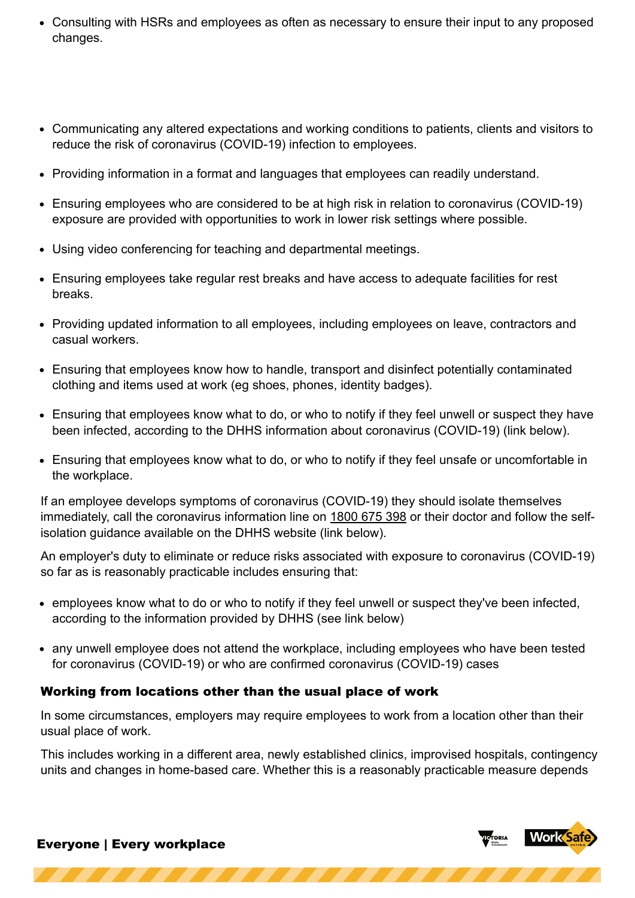- Consulting with HSRs and employees as often as necessary to ensure their input to any proposed changes.
- Communicating any altered expectations and working conditions to patients, clients and visitors to reduce the risk of coronavirus (COVID-19) infection to employees.
- Providing information in a format and languages that employees can readily understand.
- Ensuring employees who are considered to be at high risk in relation to coronavirus (COVID-19) exposure are provided with opportunities to work in lower risk settings where possible.
- Using video conferencing for teaching and departmental meetings.
- Ensuring employees take regular rest breaks and have access to adequate facilities for rest breaks.
- Providing updated information to all employees, including employees on leave, contractors and casual workers.
- Ensuring that employees know how to handle, transport and disinfect potentially contaminated clothing and items used at work (eg shoes, phones, identity badges).
- Ensuring that employees know what to do, or who to notify if they feel unwell or suspect they have been infected, according to the DHHS information about coronavirus (COVID-19) (link below).
- Ensuring that employees know what to do, or who to notify if they feel unsafe or uncomfortable in the workplace.

If an employee develops symptoms of coronavirus (COVID-19) they should isolate themselves immediately, call the coronavirus information line on [1800 675 398](tel:1800 675 398) or their doctor and follow the selfisolation guidance available on the DHHS website (link below).

An employer's duty to eliminate or reduce risks associated with exposure to coronavirus (COVID-19) so far as is reasonably practicable includes ensuring that:

- employees know what to do or who to notify if they feel unwell or suspect they've been infected, according to the information provided by DHHS (see link below)
- any unwell employee does not attend the workplace, including employees who have been tested for coronavirus (COVID-19) or who are confirmed coronavirus (COVID-19) cases

# Working from locations other than the usual place of work

In some circumstances, employers may require employees to work from a location other than their usual place of work.

This includes working in a different area, newly established clinics, improvised hospitals, contingency units and changes in home-based care. Whether this is a reasonably practicable measure depends

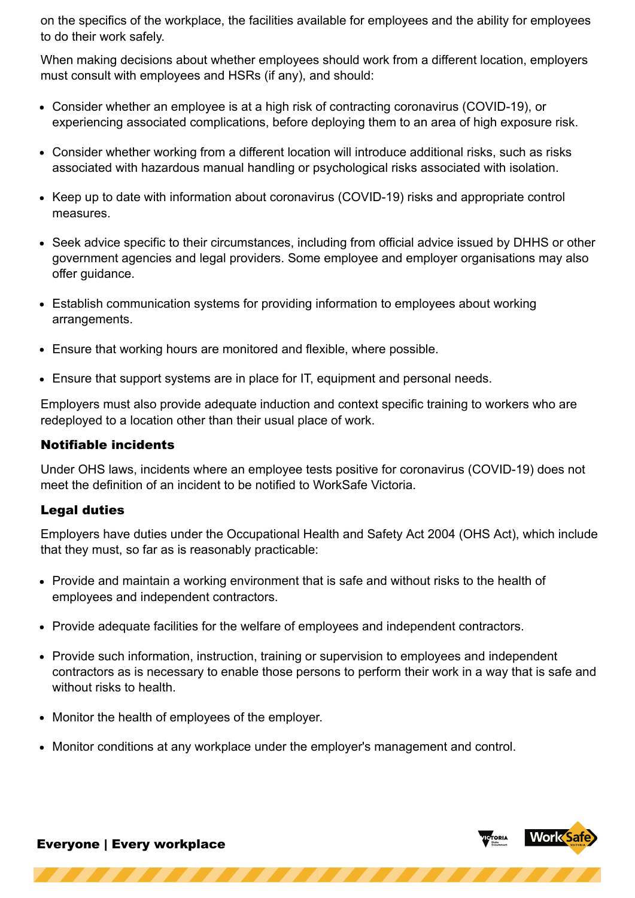on the specifics of the workplace, the facilities available for employees and the ability for employees to do their work safely.

When making decisions about whether employees should work from a different location, employers must consult with employees and HSRs (if any), and should:

- Consider whether an employee is at a high risk of contracting coronavirus (COVID-19), or experiencing associated complications, before deploying them to an area of high exposure risk.
- Consider whether working from a different location will introduce additional risks, such as risks associated with hazardous manual handling or psychological risks associated with isolation.
- Keep up to date with information about coronavirus (COVID-19) risks and appropriate control measures.
- Seek advice specific to their circumstances, including from official advice issued by DHHS or other government agencies and legal providers. Some employee and employer organisations may also offer guidance.
- Establish communication systems for providing information to employees about working arrangements.
- Ensure that working hours are monitored and flexible, where possible.
- Ensure that support systems are in place for IT, equipment and personal needs.

Employers must also provide adequate induction and context specific training to workers who are redeployed to a location other than their usual place of work.

## Notifiable incidents

Under OHS laws, incidents where an employee tests positive for coronavirus (COVID-19) does not meet the definition of an incident to be notified to WorkSafe Victoria.

# Legal duties

Employers have duties under the Occupational Health and Safety Act 2004 (OHS Act), which include that they must, so far as is reasonably practicable:

- Provide and maintain a working environment that is safe and without risks to the health of employees and independent contractors.
- Provide adequate facilities for the welfare of employees and independent contractors.
- Provide such information, instruction, training or supervision to employees and independent contractors as is necessary to enable those persons to perform their work in a way that is safe and without risks to health.
- Monitor the health of employees of the employer.
- Monitor conditions at any workplace under the employer's management and control.

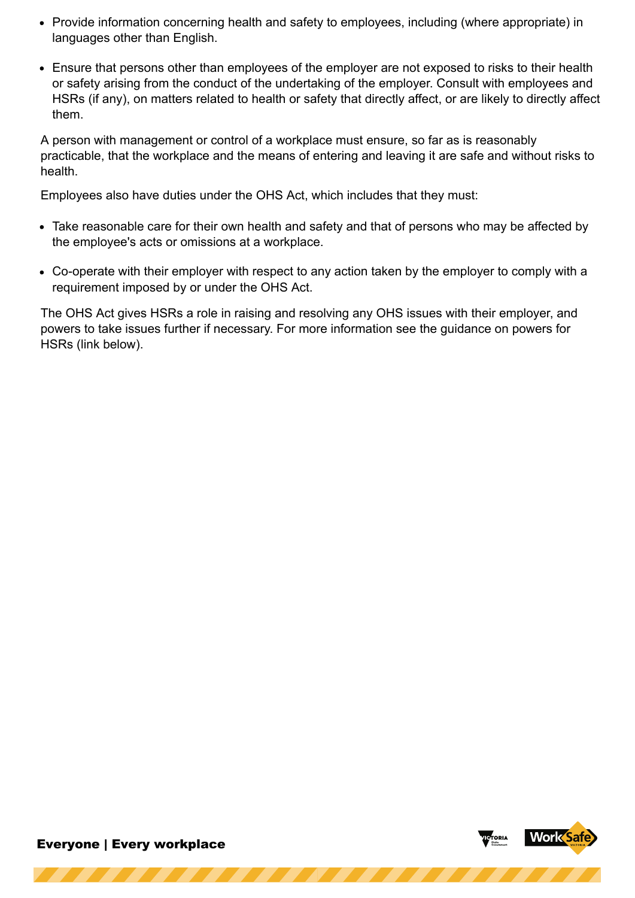- Provide information concerning health and safety to employees, including (where appropriate) in languages other than English.
- Ensure that persons other than employees of the employer are not exposed to risks to their health or safety arising from the conduct of the undertaking of the employer. Consult with employees and HSRs (if any), on matters related to health or safety that directly affect, or are likely to directly affect them.

A person with management or control of a workplace must ensure, so far as is reasonably practicable, that the workplace and the means of entering and leaving it are safe and without risks to health.

Employees also have duties under the OHS Act, which includes that they must:

- Take reasonable care for their own health and safety and that of persons who may be affected by the employee's acts or omissions at a workplace.
- Co-operate with their employer with respect to any action taken by the employer to comply with a requirement imposed by or under the OHS Act.

The OHS Act gives HSRs a role in raising and resolving any OHS issues with their employer, and powers to take issues further if necessary. For more information see the guidance on powers for HSRs (link below).